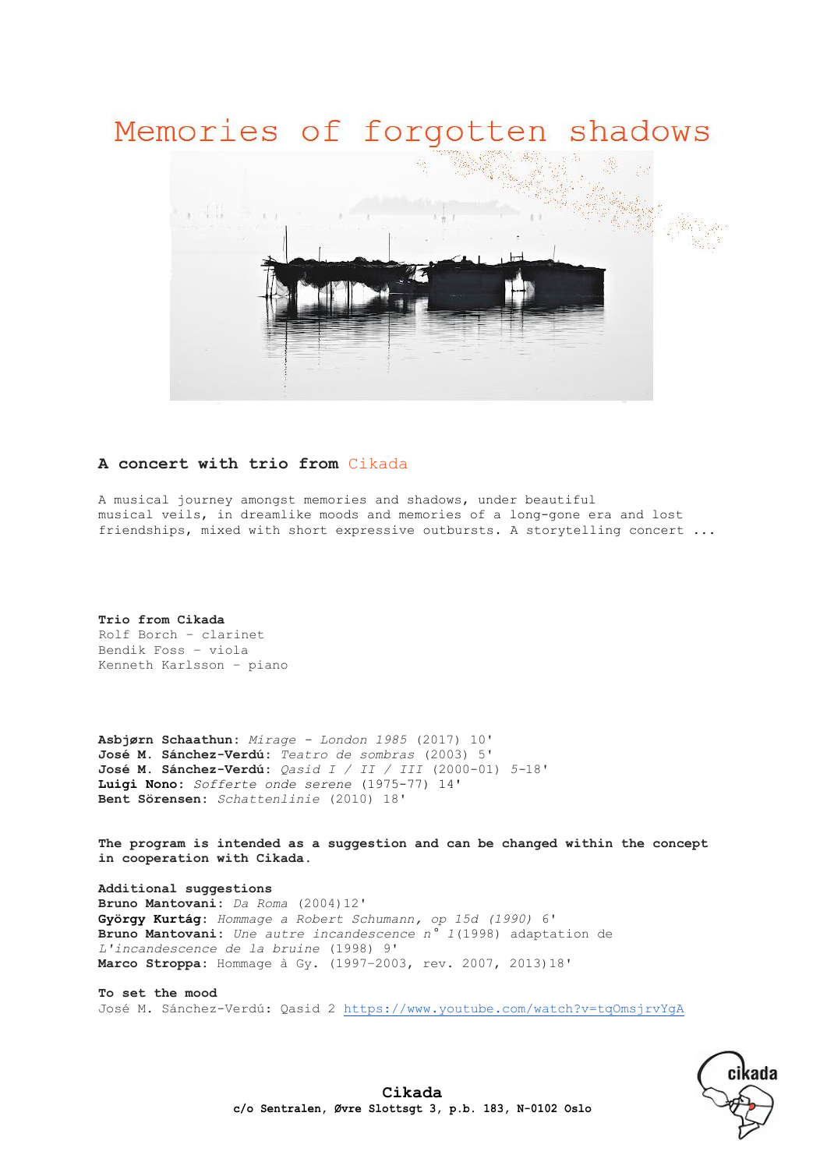## Memories of forgotten shadows



## **A concert with trio from** Cikada

A musical journey amongst memories and shadows, under beautiful musical veils, in dreamlike moods and memories of a long-gone era and lost friendships, mixed with short expressive outbursts. A storytelling concert ...

**Trio from Cikada** Rolf Borch – clarinet Bendik Foss – viola Kenneth Karlsson – piano

**Asbjørn Schaathun:** *Mirage - London 1985* (2017) 10' **José M. Sánchez-Verdú:** *Teatro de sombras* (2003) 5' **José M. Sánchez-Verdú:** *Qasid I / II / III* (2000-01) *5-*18' **Luigi Nono:** *Sofferte onde serene* (1975-77) 14' **Bent Sörensen:** *Schattenlinie* (2010) 18'

**The program is intended as a suggestion and can be changed within the concept in cooperation with Cikada.**

**Additional suggestions** Bruno Mantovani: *Da Roma* (2004)12' **[György Kurtág:](http://www.allmusic.com/artist/gy%C3%B6rgy-kurt%C3%A1g-mn0000001589)** *Hommage a Robert Schumann, op 15d (1990)* 6' **Bruno Mantovani:** *Une autre incandescence n° 1*(1998) adaptation de *L'incandescence de la bruine* (1998) 9' **Marco Stroppa:** Hommage à Gy. (1997–2003, rev. 2007, 2013)18'

**To set the mood** José M. Sánchez-Verdú: Qasid 2 <https://www.youtube.com/watch?v=tqOmsjrvYgA>